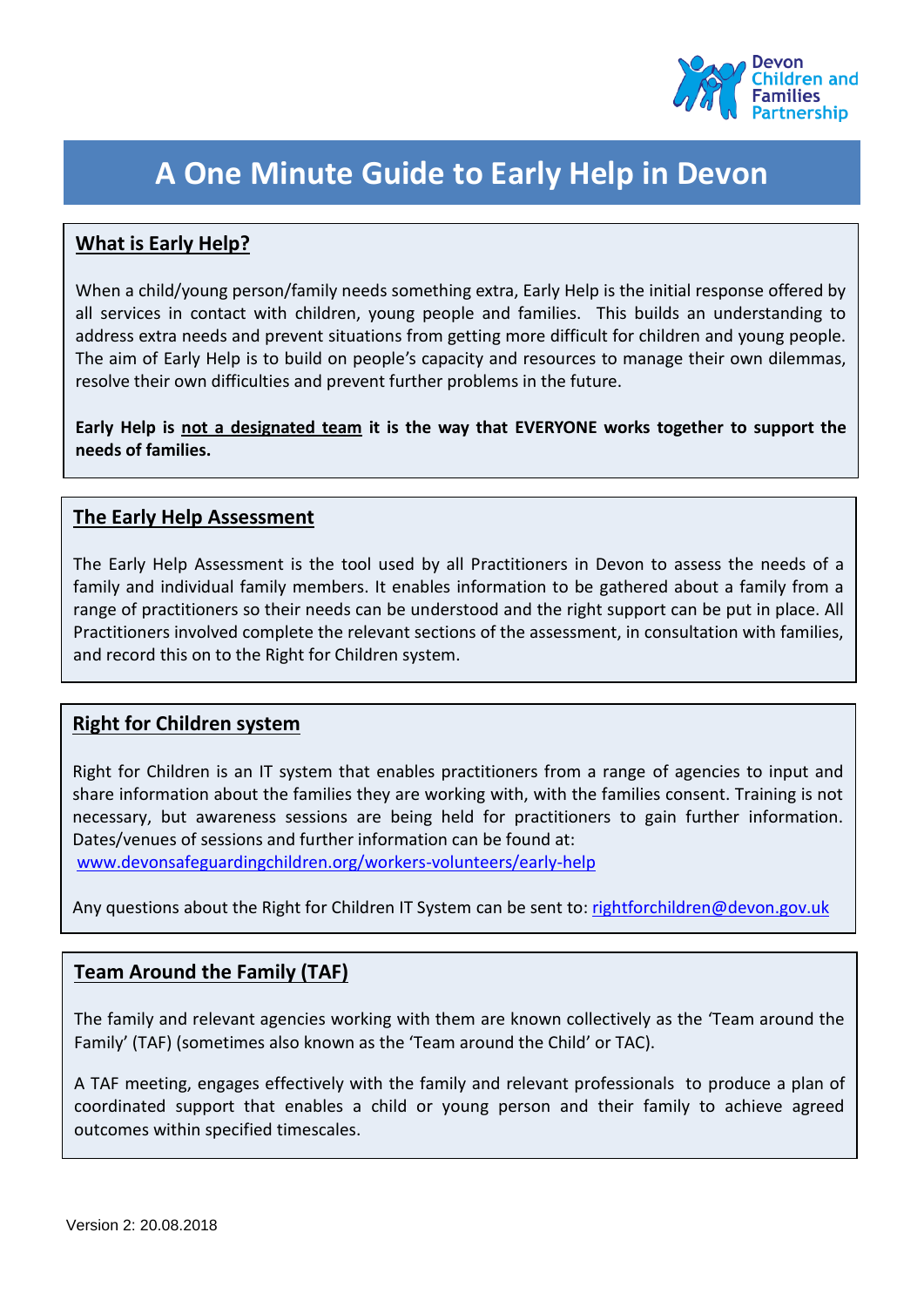

# **A One Minute Guide to Early Help in Devon**

## **What is Early Help?**

When a child/young person/family needs something extra, Early Help is the initial response offered by all services in contact with children, young people and families. This builds an understanding to address extra needs and prevent situations from getting more difficult for children and young people. The aim of Early Help is to build on people's capacity and resources to manage their own dilemmas, resolve their own difficulties and prevent further problems in the future.

**Early Help is not a designated team it is the way that EVERYONE works together to support the needs of families.**

### **The Early Help Assessment**

The Early Help Assessment is the tool used by all Practitioners in Devon to assess the needs of a family and individual family members. It enables information to be gathered about a family from a range of practitioners so their needs can be understood and the right support can be put in place. All Practitioners involved complete the relevant sections of the assessment, in consultation with families, and record this on to the Right for Children system.

#### **Right for Children system**

Right for Children is an IT system that enables practitioners from a range of agencies to input and share information about the families they are working with, with the families consent. Training is not necessary, but awareness sessions are being held for practitioners to gain further information. Dates/venues of sessions and further information can be found at:

[www.devonsafeguardingchildren.org/workers-volunteers/early-help](file:///C:/Users/anna.ephgrave/AppData/Local/Microsoft/Windows/INetCache/Content.Outlook/8GVOPYFY/www.devonsafeguardingchildren.org/workers-volunteers/early-help)

Any questions about the Right for Children IT System can be sent to: [rightforchildren@devon.gov.uk](mailto:rightforchildren@devon.gov.uk)

#### **Team Around the Family (TAF)**

The family and relevant agencies working with them are known collectively as the 'Team around the Family' (TAF) (sometimes also known as the 'Team around the Child' or TAC).

A TAF meeting, engages effectively with the family and relevant professionals to produce a plan of coordinated support that enables a child or young person and their family to achieve agreed outcomes within specified timescales.